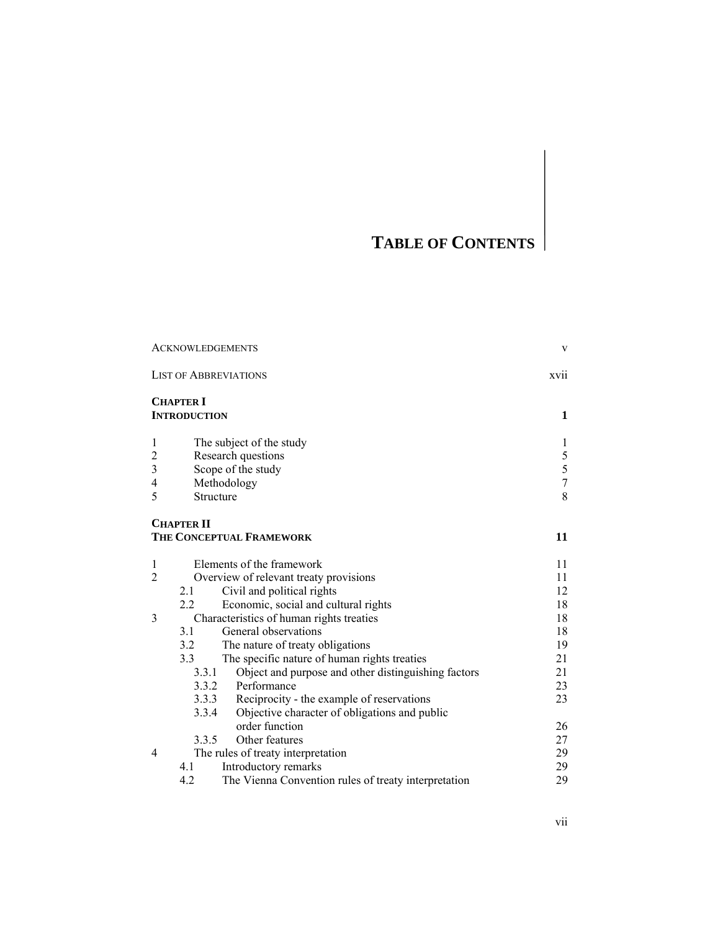## **TABLE OF CONTENTS**

|                | <b>ACKNOWLEDGEMENTS</b>                 |                                                      | $\mathbf{V}$  |
|----------------|-----------------------------------------|------------------------------------------------------|---------------|
|                |                                         | <b>LIST OF ABBREVIATIONS</b>                         | <b>XV11</b>   |
|                | <b>CHAPTER I</b><br><b>INTRODUCTION</b> |                                                      | 1             |
| 1              |                                         | The subject of the study                             | 1             |
| 2              |                                         | Research questions                                   |               |
| 3              |                                         | Scope of the study                                   | $\frac{5}{7}$ |
| 4              |                                         | Methodology                                          |               |
| 5              | Structure                               |                                                      | 8             |
|                | <b>CHAPTER II</b>                       | THE CONCEPTUAL FRAMEWORK                             | 11            |
| 1              |                                         | Elements of the framework                            | 11            |
| $\overline{2}$ |                                         | Overview of relevant treaty provisions               | 11            |
|                | 2.1                                     | Civil and political rights                           | 12            |
|                | $2.2^{\circ}$                           | Economic, social and cultural rights                 | 18            |
| 3              |                                         | Characteristics of human rights treaties             | 18            |
|                | 3.1                                     | General observations                                 | 18            |
|                | 3.2                                     | The nature of treaty obligations                     | 19            |
|                | 3.3                                     | The specific nature of human rights treaties         | 21            |
|                | 3.3.1                                   | Object and purpose and other distinguishing factors  | 21            |
|                |                                         | 3.3.2 Performance                                    | 23            |
|                |                                         | 3.3.3 Reciprocity - the example of reservations      | 23            |
|                | 3.3.4                                   | Objective character of obligations and public        |               |
|                |                                         | order function                                       | 26            |
|                | 3.3.5                                   | Other features                                       | 27            |
| 4              |                                         | The rules of treaty interpretation                   | 29            |
|                | 4.1                                     | Introductory remarks                                 | 29            |
|                | 4.2                                     | The Vienna Convention rules of treaty interpretation | 29            |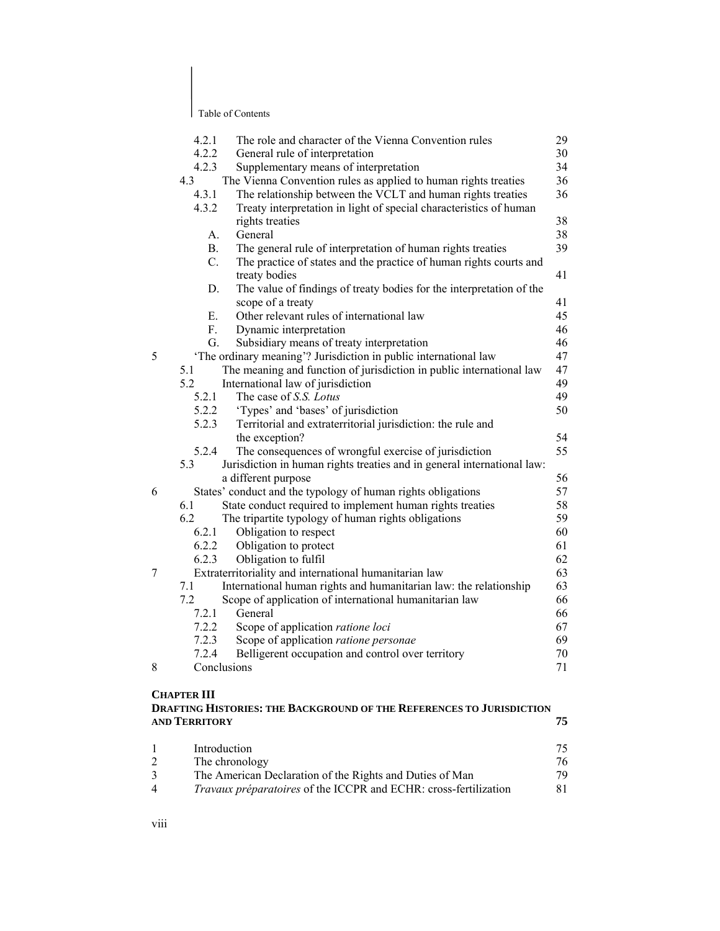|   | 4.2.1       | The role and character of the Vienna Convention rules                   | 29 |
|---|-------------|-------------------------------------------------------------------------|----|
|   | 4.2.2       | General rule of interpretation                                          | 30 |
|   | 4.2.3       | Supplementary means of interpretation                                   | 34 |
|   | 4.3         | The Vienna Convention rules as applied to human rights treaties         | 36 |
|   | 4.3.1       | The relationship between the VCLT and human rights treaties             | 36 |
|   | 4.3.2       | Treaty interpretation in light of special characteristics of human      |    |
|   |             | rights treaties                                                         | 38 |
|   | $A_{-}$     | General                                                                 | 38 |
|   | <b>B.</b>   | The general rule of interpretation of human rights treaties             | 39 |
|   | $C_{\cdot}$ | The practice of states and the practice of human rights courts and      |    |
|   |             | treaty bodies                                                           | 41 |
|   | D.          | The value of findings of treaty bodies for the interpretation of the    |    |
|   |             | scope of a treaty                                                       | 41 |
|   | Е.          | Other relevant rules of international law                               | 45 |
|   | F.          | Dynamic interpretation                                                  | 46 |
|   | G.          | Subsidiary means of treaty interpretation                               | 46 |
| 5 |             | 'The ordinary meaning'? Jurisdiction in public international law        | 47 |
|   | 5.1         | The meaning and function of jurisdiction in public international law    | 47 |
|   | 5.2         | International law of jurisdiction                                       | 49 |
|   | 5.2.1       | The case of S.S. Lotus                                                  | 49 |
|   | 5.2.2       | 'Types' and 'bases' of jurisdiction                                     | 50 |
|   | 5.2.3       | Territorial and extraterritorial jurisdiction: the rule and             |    |
|   |             | the exception?                                                          | 54 |
|   | 5.2.4       | The consequences of wrongful exercise of jurisdiction                   | 55 |
|   | 5.3         | Jurisdiction in human rights treaties and in general international law: |    |
|   |             | a different purpose                                                     | 56 |
| 6 |             | States' conduct and the typology of human rights obligations            | 57 |
|   | 6.1         | State conduct required to implement human rights treaties               | 58 |
|   | 6.2         | The tripartite typology of human rights obligations                     | 59 |
|   | 6.2.1       | Obligation to respect                                                   | 60 |
|   | 6.2.2       | Obligation to protect                                                   | 61 |
|   | 6.2.3       | Obligation to fulfil                                                    | 62 |
| 7 |             | Extraterritoriality and international humanitarian law                  | 63 |
|   | 7.1         | International human rights and humanitarian law: the relationship       | 63 |
|   | 7.2         | Scope of application of international humanitarian law                  | 66 |
|   | 7.2.1       | General                                                                 | 66 |
|   | 7.2.2       | Scope of application ratione loci                                       | 67 |
|   | 7.2.3       | Scope of application ratione personae                                   | 69 |
|   | 7.2.4       | Belligerent occupation and control over territory                       | 70 |
| 8 |             | Conclusions                                                             | 71 |

## **CHAPTER III**

**DRAFTING HISTORIES: THE BACKGROUND OF THE REFERENCES TO JURISDICTION AND TERRITORY** 

|                | Introduction                                                     |     |
|----------------|------------------------------------------------------------------|-----|
| 2              | The chronology                                                   | 76  |
| $\mathcal{R}$  | The American Declaration of the Rights and Duties of Man         | 79. |
| $\overline{4}$ | Travaux préparatoires of the ICCPR and ECHR: cross-fertilization | 81. |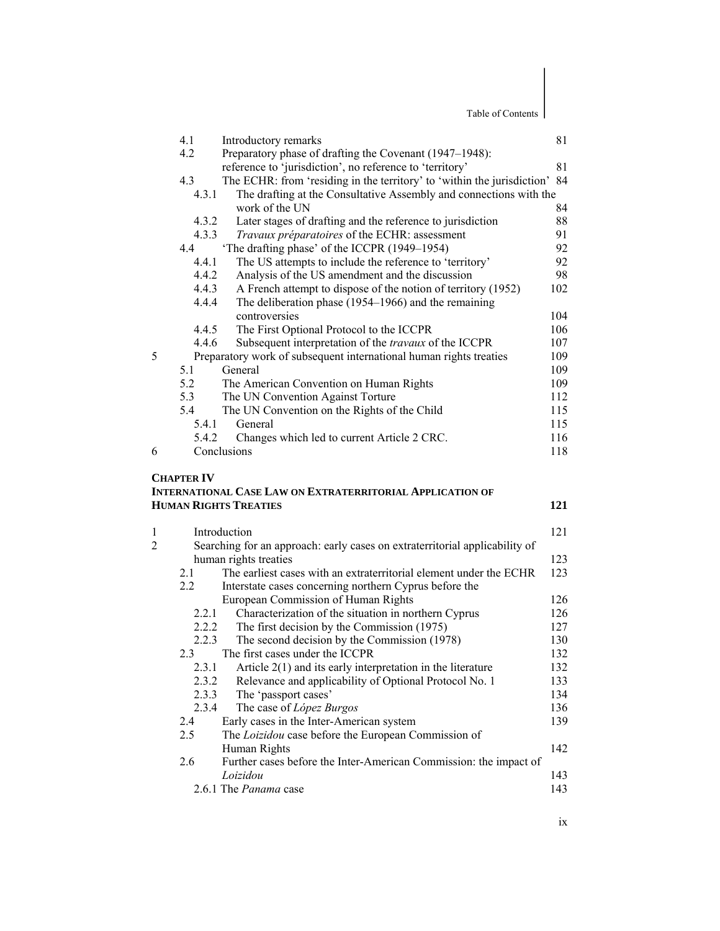|                | 4.1               | Introductory remarks                                                          | 81  |
|----------------|-------------------|-------------------------------------------------------------------------------|-----|
|                | 4.2               | Preparatory phase of drafting the Covenant (1947–1948):                       |     |
|                |                   | reference to 'jurisdiction', no reference to 'territory'                      | 81  |
|                | 4.3               | The ECHR: from 'residing in the territory' to 'within the jurisdiction'       | 84  |
|                | 4.3.1             | The drafting at the Consultative Assembly and connections with the            |     |
|                |                   | work of the UN                                                                | 84  |
|                | 4.3.2             | Later stages of drafting and the reference to jurisdiction                    | 88  |
|                | 4.3.3             | Travaux préparatoires of the ECHR: assessment                                 | 91  |
|                | 4.4               | 'The drafting phase' of the ICCPR (1949–1954)                                 | 92  |
|                | 4.4.1             | The US attempts to include the reference to 'territory'                       | 92  |
|                | 4.4.2             | Analysis of the US amendment and the discussion                               | 98  |
|                | 4.4.3             | A French attempt to dispose of the notion of territory (1952)                 | 102 |
|                | 4.4.4             | The deliberation phase (1954–1966) and the remaining                          |     |
|                |                   | controversies                                                                 | 104 |
|                | 4.4.5             | The First Optional Protocol to the ICCPR                                      | 106 |
|                | 4.4.6             | Subsequent interpretation of the <i>travaux</i> of the ICCPR                  | 107 |
| 5              |                   | Preparatory work of subsequent international human rights treaties            | 109 |
|                | 5.1               | General                                                                       | 109 |
|                | 5.2               | The American Convention on Human Rights                                       | 109 |
|                | 5.3               | The UN Convention Against Torture                                             | 112 |
|                | 5.4               | The UN Convention on the Rights of the Child                                  | 115 |
|                | 5.4.1             | General                                                                       | 115 |
|                | 5.4.2             | Changes which led to current Article 2 CRC.                                   | 116 |
| 6              |                   | Conclusions                                                                   | 118 |
|                |                   |                                                                               |     |
|                |                   |                                                                               |     |
|                | <b>CHAPTER IV</b> |                                                                               |     |
|                |                   | <b>INTERNATIONAL CASE LAW ON EXTRATERRITORIAL APPLICATION OF</b>              |     |
|                |                   | <b>HUMAN RIGHTS TREATIES</b>                                                  | 121 |
|                |                   |                                                                               |     |
| $\mathbf{1}$   |                   | Introduction                                                                  | 121 |
| $\overline{2}$ |                   | Searching for an approach: early cases on extraterritorial applicability of   |     |
|                |                   | human rights treaties                                                         | 123 |
|                | 2.1               | The earliest cases with an extraterritorial element under the ECHR            | 123 |
|                | 2.2               | Interstate cases concerning northern Cyprus before the                        |     |
|                |                   | European Commission of Human Rights                                           | 126 |
|                | 2.2.1             | Characterization of the situation in northern Cyprus                          | 126 |
|                | 2.2.2             | The first decision by the Commission (1975)                                   | 127 |
|                | 2.2.3             | The second decision by the Commission (1978)                                  | 130 |
|                | 2.3               | The first cases under the ICCPR                                               | 132 |
|                | 2.3.1             | Article $2(1)$ and its early interpretation in the literature                 | 132 |
|                | 2.3.2             | Relevance and applicability of Optional Protocol No. 1                        | 133 |
|                | 2.3.3             | The 'passport cases'                                                          | 134 |
|                | 2.3.4             | The case of López Burgos                                                      | 136 |
|                | 2.4               | Early cases in the Inter-American system                                      | 139 |
|                | 2.5               | The Loizidou case before the European Commission of                           |     |
|                | 2.6               | Human Rights                                                                  | 142 |
|                |                   | Further cases before the Inter-American Commission: the impact of<br>Loizidou | 143 |

ix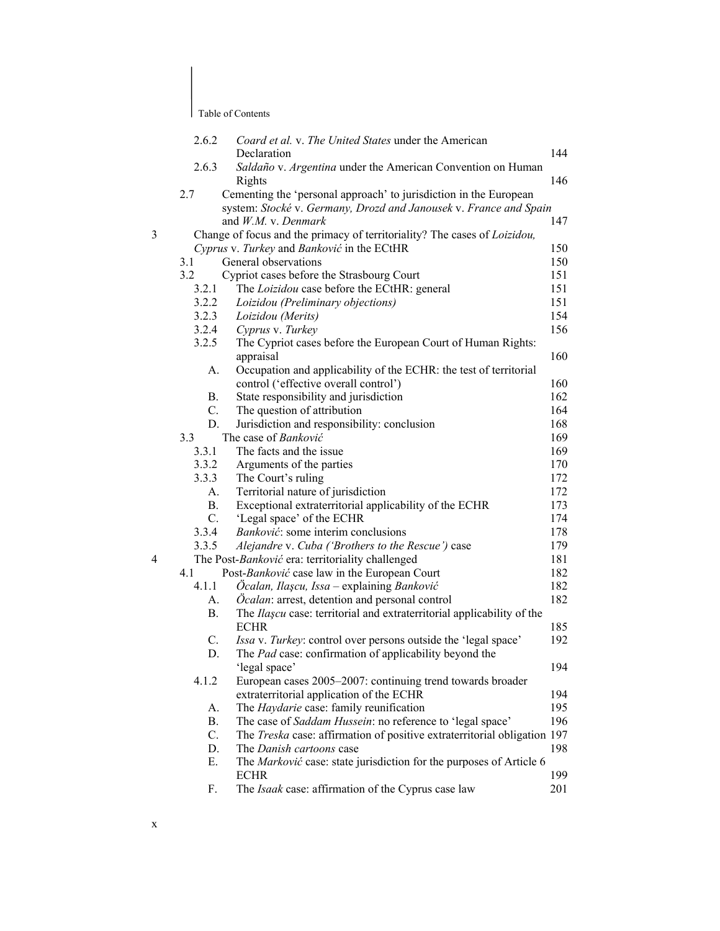|   | 2.6.2     | Coard et al. v. The United States under the American                                                 |            |
|---|-----------|------------------------------------------------------------------------------------------------------|------------|
|   |           | Declaration                                                                                          | 144        |
|   | 2.6.3     | Saldaño v. Argentina under the American Convention on Human<br>Rights                                | 146        |
|   | 2.7       | Cementing the 'personal approach' to jurisdiction in the European                                    |            |
|   |           | system: Stocké v. Germany, Drozd and Janousek v. France and Spain                                    |            |
|   |           | and W.M. v. Denmark                                                                                  | 147        |
| 3 |           | Change of focus and the primacy of territoriality? The cases of Loizidou,                            |            |
|   |           | Cyprus v. Turkey and Banković in the ECtHR                                                           | 150        |
|   | 3.1       | General observations                                                                                 | 150        |
|   | 3.2       | Cypriot cases before the Strasbourg Court                                                            | 151        |
|   | 3.2.1     | The Loizidou case before the ECtHR: general                                                          | 151        |
|   | 3.2.2     | Loizidou (Preliminary objections)                                                                    | 151        |
|   | 3.2.3     | Loizidou (Merits)                                                                                    | 154        |
|   | 3.2.4     | Cyprus v. Turkey                                                                                     | 156        |
|   | 3.2.5     | The Cypriot cases before the European Court of Human Rights:                                         |            |
|   |           | appraisal                                                                                            | 160        |
|   | А.        | Occupation and applicability of the ECHR: the test of territorial                                    |            |
|   |           | control ('effective overall control')                                                                | 160        |
|   | В.        | State responsibility and jurisdiction                                                                | 162        |
|   | C.        | The question of attribution                                                                          | 164        |
|   | D.<br>3.3 | Jurisdiction and responsibility: conclusion<br>The case of Banković                                  | 168<br>169 |
|   | 3.3.1     | The facts and the issue                                                                              | 169        |
|   | 3.3.2     | Arguments of the parties                                                                             | 170        |
|   | 3.3.3     | The Court's ruling                                                                                   | 172        |
|   | A.        | Territorial nature of jurisdiction                                                                   | 172        |
|   | <b>B.</b> | Exceptional extraterritorial applicability of the ECHR                                               | 173        |
|   | C.        | 'Legal space' of the ECHR                                                                            | 174        |
|   | 3.3.4     | Banković: some interim conclusions                                                                   | 178        |
|   | 3.3.5     | Alejandre v. Cuba ('Brothers to the Rescue') case                                                    | 179        |
| 4 |           | The Post-Banković era: territoriality challenged                                                     | 181        |
|   | 4.1       | Post-Banković case law in the European Court                                                         | 182        |
|   | 4.1.1     | Öcalan, Ilaşcu, Issa – explaining Banković                                                           | 182        |
|   | A.        | <i>Ocalan:</i> arrest, detention and personal control                                                | 182        |
|   | В.        | The <i>Ilașcu</i> case: territorial and extraterritorial applicability of the                        |            |
|   |           | <b>ECHR</b>                                                                                          | 185        |
|   | C.        | Issa v. Turkey: control over persons outside the 'legal space'                                       | 192        |
|   | D.        | The Pad case: confirmation of applicability beyond the                                               |            |
|   |           | 'legal space'                                                                                        | 194        |
|   | 4.1.2     | European cases 2005–2007: continuing trend towards broader                                           |            |
|   |           | extraterritorial application of the ECHR                                                             | 194        |
|   | А.<br>В.  | The Haydarie case: family reunification<br>The case of Saddam Hussein: no reference to 'legal space' | 195<br>196 |
|   | C.        | The Treska case: affirmation of positive extraterritorial obligation 197                             |            |
|   | D.        | The Danish cartoons case                                                                             | 198        |
|   | Е.        | The Marković case: state jurisdiction for the purposes of Article 6                                  |            |
|   |           | <b>ECHR</b>                                                                                          | 199        |
|   | F.        | The Isaak case: affirmation of the Cyprus case law                                                   | 201        |
|   |           |                                                                                                      |            |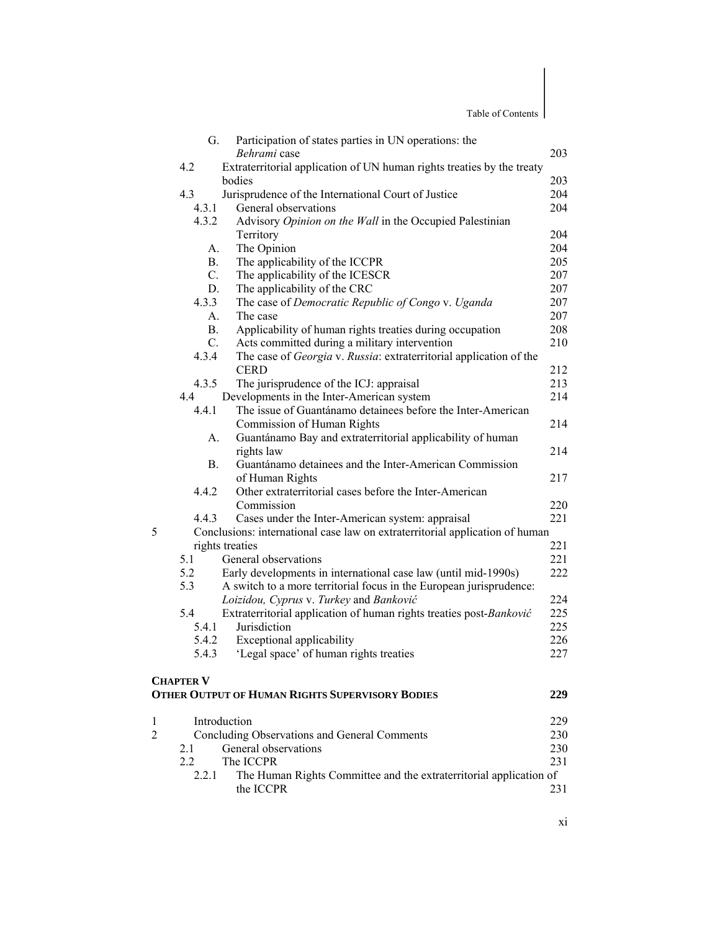| Table of Contents |
|-------------------|
|                   |

|                | G.               | Participation of states parties in UN operations: the                            |     |
|----------------|------------------|----------------------------------------------------------------------------------|-----|
|                |                  | Behrami case                                                                     | 203 |
|                | 4.2              | Extraterritorial application of UN human rights treaties by the treaty<br>bodies | 203 |
|                | 4.3              | Jurisprudence of the International Court of Justice                              | 204 |
|                | 4.3.1            | General observations                                                             | 204 |
|                | 4.3.2            | Advisory Opinion on the Wall in the Occupied Palestinian                         |     |
|                |                  | Territory                                                                        | 204 |
|                | A.               | The Opinion                                                                      | 204 |
|                | <b>B.</b>        | The applicability of the ICCPR                                                   | 205 |
|                | $C_{\cdot}$      | The applicability of the ICESCR                                                  | 207 |
|                | D.               | The applicability of the CRC                                                     | 207 |
|                | 4.3.3            | The case of Democratic Republic of Congo v. Uganda                               | 207 |
|                | А.               | The case                                                                         | 207 |
|                | <b>B.</b>        | Applicability of human rights treaties during occupation                         | 208 |
|                | $C$ .            | Acts committed during a military intervention                                    | 210 |
|                | 4.3.4            | The case of <i>Georgia v. Russia:</i> extraterritorial application of the        |     |
|                |                  | <b>CERD</b>                                                                      | 212 |
|                | 4.3.5            | The jurisprudence of the ICJ: appraisal                                          | 213 |
|                | 4.4              | Developments in the Inter-American system                                        | 214 |
|                | 4.4.1            | The issue of Guantánamo detainees before the Inter-American                      |     |
|                |                  | Commission of Human Rights                                                       | 214 |
|                | А.               | Guantánamo Bay and extraterritorial applicability of human                       |     |
|                |                  | rights law                                                                       | 214 |
|                | <b>B.</b>        | Guantánamo detainees and the Inter-American Commission                           |     |
|                |                  | of Human Rights                                                                  | 217 |
|                | 4.4.2            | Other extraterritorial cases before the Inter-American                           |     |
|                |                  | Commission                                                                       | 220 |
|                | 4.4.3            | Cases under the Inter-American system: appraisal                                 | 221 |
| 5              |                  | Conclusions: international case law on extraterritorial application of human     |     |
|                |                  | rights treaties                                                                  | 221 |
|                | 5.1              | General observations                                                             | 221 |
|                | 5.2              | Early developments in international case law (until mid-1990s)                   | 222 |
|                | 5.3              | A switch to a more territorial focus in the European jurisprudence:              |     |
|                |                  | Loizidou, Cyprus v. Turkey and Banković                                          | 224 |
|                | 5.4              | Extraterritorial application of human rights treaties post-Banković              | 225 |
|                | 5.4.1            | Jurisdiction                                                                     | 225 |
|                | 5.4.2            | <b>Exceptional applicability</b>                                                 | 226 |
|                | 5.4.3            |                                                                                  | 227 |
|                |                  | 'Legal space' of human rights treaties                                           |     |
|                | <b>CHAPTER V</b> |                                                                                  |     |
|                |                  | <b>OTHER OUTPUT OF HUMAN RIGHTS SUPERVISORY BODIES</b>                           | 229 |
| 1              |                  | Introduction                                                                     | 229 |
| $\overline{2}$ |                  | Concluding Observations and General Comments                                     | 230 |
|                | 2.1              | General observations                                                             | 230 |
|                | $2.2^{\circ}$    | The ICCPR                                                                        | 231 |
|                | 2.2.1            | The Human Rights Committee and the extraterritorial application of               |     |
|                |                  | the ICCPR                                                                        | 231 |
|                |                  |                                                                                  |     |

xi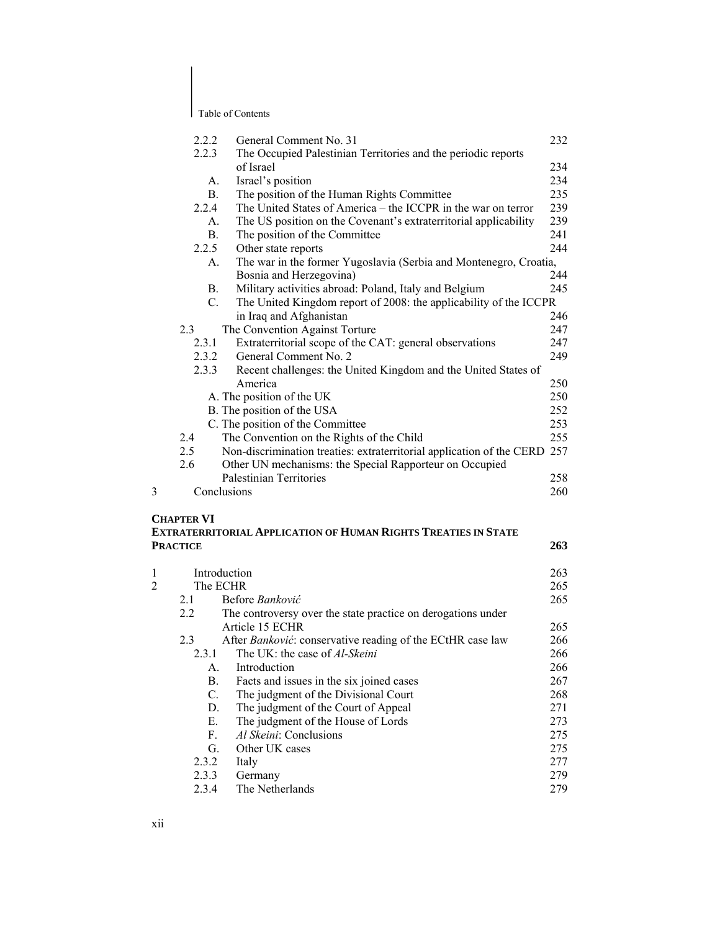|   | 2.2.2          | General Comment No. 31                                                    | 232 |
|---|----------------|---------------------------------------------------------------------------|-----|
|   | 2.2.3          | The Occupied Palestinian Territories and the periodic reports             |     |
|   |                | of Israel                                                                 | 234 |
|   | A.             | Israel's position                                                         | 234 |
|   | <b>B.</b>      | The position of the Human Rights Committee                                | 235 |
|   | 2.2.4          | The United States of America – the ICCPR in the war on terror             | 239 |
|   | A.             | The US position on the Covenant's extraterritorial applicability          | 239 |
|   | B <sub>1</sub> | The position of the Committee                                             | 241 |
|   | 2.2.5          | Other state reports                                                       | 244 |
|   | A.             | The war in the former Yugoslavia (Serbia and Montenegro, Croatia,         |     |
|   |                | Bosnia and Herzegovina)                                                   | 244 |
|   | B <sub>1</sub> | Military activities abroad: Poland, Italy and Belgium                     | 245 |
|   | $C_{\cdot}$    | The United Kingdom report of 2008: the applicability of the ICCPR         |     |
|   |                | in Iraq and Afghanistan                                                   | 246 |
|   | 2.3            | The Convention Against Torture                                            | 247 |
|   | 2.3.1          | Extraterritorial scope of the CAT: general observations                   | 247 |
|   | 2.3.2          | General Comment No. 2                                                     | 249 |
|   | 2.3.3          | Recent challenges: the United Kingdom and the United States of            |     |
|   |                | America                                                                   | 250 |
|   |                | A. The position of the UK                                                 | 250 |
|   |                | B. The position of the USA                                                | 252 |
|   |                | C. The position of the Committee                                          | 253 |
|   | 2.4            | The Convention on the Rights of the Child                                 | 255 |
|   | 2.5            | Non-discrimination treaties: extraterritorial application of the CERD 257 |     |
|   | 2.6            | Other UN mechanisms: the Special Rapporteur on Occupied                   |     |
|   |                | Palestinian Territories                                                   | 258 |
| 3 |                | Conclusions                                                               | 260 |
|   | Chapter VI     |                                                                           |     |

## **CHA EXTRATERRITORIAL APPLICATION OF HUMAN RIGHTS TREATIES IN STATE PRACTICE 263**

| 1 | Introduction |                                                              | 263 |
|---|--------------|--------------------------------------------------------------|-----|
| 2 | The ECHR     |                                                              | 265 |
|   | 2.1          | Before Banković                                              | 265 |
|   | 2.2          | The controversy over the state practice on derogations under |     |
|   |              | Article 15 ECHR                                              | 265 |
|   | 2.3          | After Banković: conservative reading of the ECtHR case law   | 266 |
|   | 2.3.1        | The UK: the case of Al-Skeini                                | 266 |
|   | $A_{\cdot}$  | Introduction                                                 | 266 |
|   | B.           | Facts and issues in the six joined cases                     | 267 |
|   | C.           | The judgment of the Divisional Court                         | 268 |
|   | D.           | The judgment of the Court of Appeal                          | 271 |
|   | Е.           | The judgment of the House of Lords                           | 273 |
|   | F.           | Al Skeini: Conclusions                                       | 275 |
|   | G.           | Other UK cases                                               | 275 |
|   | 2.3.2        | Italy                                                        | 277 |
|   | 2.3.3        | Germany                                                      | 279 |
|   | 2.3.4        | The Netherlands                                              | 279 |
|   |              |                                                              |     |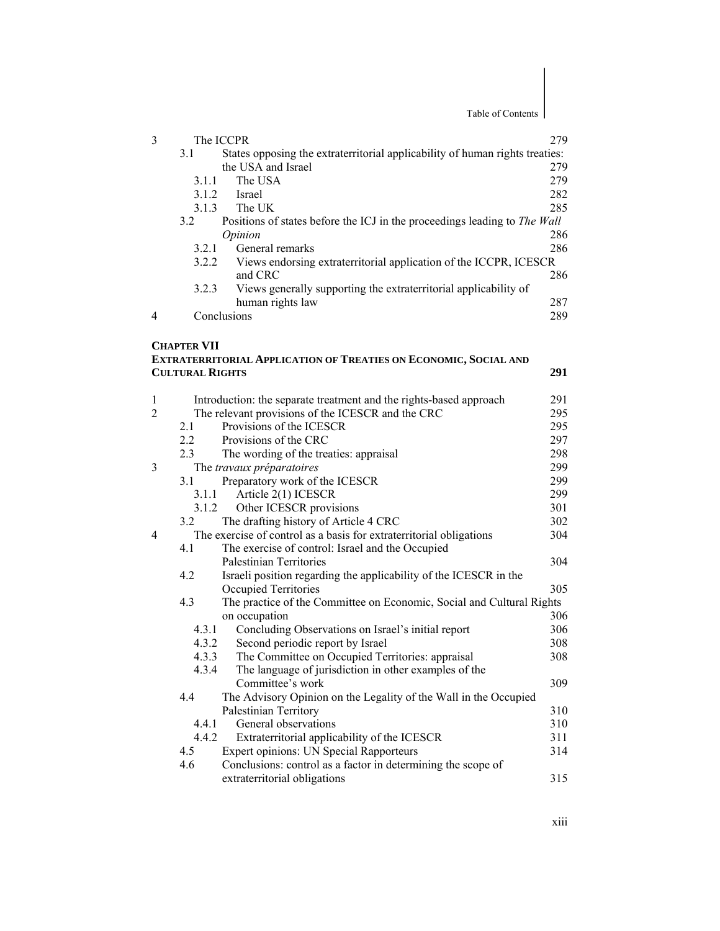| 3              |                        | The ICCPR                                                                            | 279        |
|----------------|------------------------|--------------------------------------------------------------------------------------|------------|
|                | 3.1                    | States opposing the extraterritorial applicability of human rights treaties:         |            |
|                |                        | the USA and Israel                                                                   | 279        |
|                | 3.1.1                  | The USA                                                                              | 279        |
|                | 3.1.2                  | Israel                                                                               | 282        |
|                | 3.1.3<br>3.2           | The UK                                                                               | 285        |
|                |                        | Positions of states before the ICJ in the proceedings leading to The Wall<br>Opinion | 286        |
|                | 3.2.1                  | General remarks                                                                      | 286        |
|                | 3.2.2                  | Views endorsing extraterritorial application of the ICCPR, ICESCR                    |            |
|                |                        | and CRC                                                                              | 286        |
|                | 3.2.3                  | Views generally supporting the extraterritorial applicability of                     |            |
|                |                        | human rights law                                                                     | 287        |
| 4              |                        | Conclusions                                                                          | 289        |
|                |                        |                                                                                      |            |
|                | <b>CHAPTER VII</b>     |                                                                                      |            |
|                |                        | <b>EXTRATERRITORIAL APPLICATION OF TREATIES ON ECONOMIC, SOCIAL AND</b>              |            |
|                | <b>CULTURAL RIGHTS</b> |                                                                                      | 291        |
|                |                        |                                                                                      |            |
| $\mathbf{1}$   |                        | Introduction: the separate treatment and the rights-based approach                   | 291        |
| $\overline{2}$ |                        | The relevant provisions of the ICESCR and the CRC                                    | 295        |
|                | 2.1                    | Provisions of the ICESCR                                                             | 295        |
|                | $2.2^{\circ}$          | Provisions of the CRC                                                                | 297        |
|                | 2.3                    | The wording of the treaties: appraisal                                               | 298        |
| 3              |                        | The travaux préparatoires                                                            | 299        |
|                | 3.1<br>3.1.1           | Preparatory work of the ICESCR                                                       | 299<br>299 |
|                | 3.1.2                  | Article 2(1) ICESCR<br>Other ICESCR provisions                                       | 301        |
|                | 3.2                    | The drafting history of Article 4 CRC                                                | 302        |
| 4              |                        | The exercise of control as a basis for extraterritorial obligations                  | 304        |
|                | 4.1                    | The exercise of control: Israel and the Occupied                                     |            |
|                |                        | <b>Palestinian Territories</b>                                                       | 304        |
|                | 4.2                    | Israeli position regarding the applicability of the ICESCR in the                    |            |
|                |                        | Occupied Territories                                                                 | 305        |
|                | 4.3                    | The practice of the Committee on Economic, Social and Cultural Rights                |            |
|                |                        | on occupation                                                                        | 306        |
|                | 4.3.1                  | Concluding Observations on Israel's initial report                                   | 306        |
|                |                        | 4.3.2 Second periodic report by Israel                                               | 308        |
|                | 4.3.3                  | The Committee on Occupied Territories: appraisal                                     | 308        |
|                | 4.3.4                  | The language of jurisdiction in other examples of the                                |            |
|                |                        | Committee's work                                                                     | 309        |
|                | 4.4                    | The Advisory Opinion on the Legality of the Wall in the Occupied                     |            |
|                |                        | <b>Palestinian Territory</b>                                                         | 310        |
|                | 4.4.1                  | General observations                                                                 | 310        |
|                | 4.4.2                  | Extraterritorial applicability of the ICESCR                                         | 311        |
|                | 4.5                    | Expert opinions: UN Special Rapporteurs                                              | 314        |
|                | 4.6                    | Conclusions: control as a factor in determining the scope of                         |            |
|                |                        | extraterritorial obligations                                                         | 315        |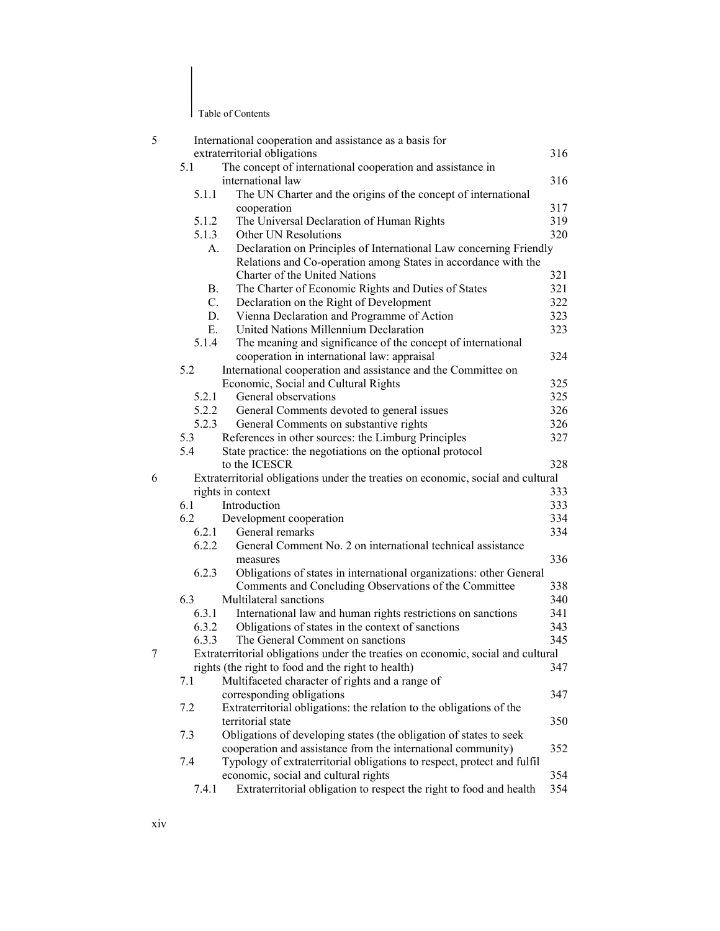| 5 |             | International cooperation and assistance as a basis for                          |     |
|---|-------------|----------------------------------------------------------------------------------|-----|
|   |             | extraterritorial obligations                                                     | 316 |
|   | 5.1         | The concept of international cooperation and assistance in                       |     |
|   |             | international law                                                                | 316 |
|   | 5.1.1       | The UN Charter and the origins of the concept of international                   |     |
|   |             | cooperation                                                                      | 317 |
|   | 5.1.2       | The Universal Declaration of Human Rights                                        | 319 |
|   | 5.1.3       | Other UN Resolutions                                                             | 320 |
|   | A.          | Declaration on Principles of International Law concerning Friendly               |     |
|   |             | Relations and Co-operation among States in accordance with the                   |     |
|   |             | Charter of the United Nations                                                    | 321 |
|   | <b>B.</b>   | The Charter of Economic Rights and Duties of States                              | 321 |
|   | $C_{\cdot}$ | Declaration on the Right of Development                                          | 322 |
|   | D.          | Vienna Declaration and Programme of Action                                       | 323 |
|   | Е.          | United Nations Millennium Declaration                                            | 323 |
|   | 5.1.4       | The meaning and significance of the concept of international                     |     |
|   |             | cooperation in international law: appraisal                                      | 324 |
|   | 5.2         | International cooperation and assistance and the Committee on                    |     |
|   |             | Economic, Social and Cultural Rights                                             | 325 |
|   | 5.2.1       | General observations                                                             | 325 |
|   | 5.2.2       | General Comments devoted to general issues                                       | 326 |
|   | 5.2.3       | General Comments on substantive rights                                           | 326 |
|   | 5.3         | References in other sources: the Limburg Principles                              | 327 |
|   | 5.4         | State practice: the negotiations on the optional protocol                        |     |
|   |             | to the ICESCR                                                                    | 328 |
| 6 |             | Extraterritorial obligations under the treaties on economic, social and cultural |     |
|   |             | rights in context                                                                | 333 |
|   | 6.1         | Introduction                                                                     | 333 |
|   | 6.2         | Development cooperation                                                          | 334 |
|   | 6.2.1       | General remarks                                                                  | 334 |
|   | 6.2.2       | General Comment No. 2 on international technical assistance                      |     |
|   |             | measures                                                                         | 336 |
|   | 6.2.3       | Obligations of states in international organizations: other General              |     |
|   |             | Comments and Concluding Observations of the Committee                            | 338 |
|   | 6.3         | Multilateral sanctions                                                           | 340 |
|   | 6.3.1       | International law and human rights restrictions on sanctions                     | 341 |
|   | 6.3.2       | Obligations of states in the context of sanctions                                | 343 |
|   | 6.3.3       | The General Comment on sanctions                                                 | 345 |
| 7 |             | Extraterritorial obligations under the treaties on economic, social and cultural |     |
|   |             | rights (the right to food and the right to health)                               | 347 |
|   | 7.1         | Multifaceted character of rights and a range of                                  |     |
|   |             | corresponding obligations                                                        | 347 |
|   | 7.2         | Extraterritorial obligations: the relation to the obligations of the             |     |
|   |             | territorial state                                                                | 350 |
|   | 7.3         | Obligations of developing states (the obligation of states to seek               |     |
|   |             | cooperation and assistance from the international community)                     | 352 |
|   | 7.4         | Typology of extraterritorial obligations to respect, protect and fulfil          |     |
|   |             | economic, social and cultural rights                                             | 354 |
|   | 7.4.1       | Extraterritorial obligation to respect the right to food and health              | 354 |